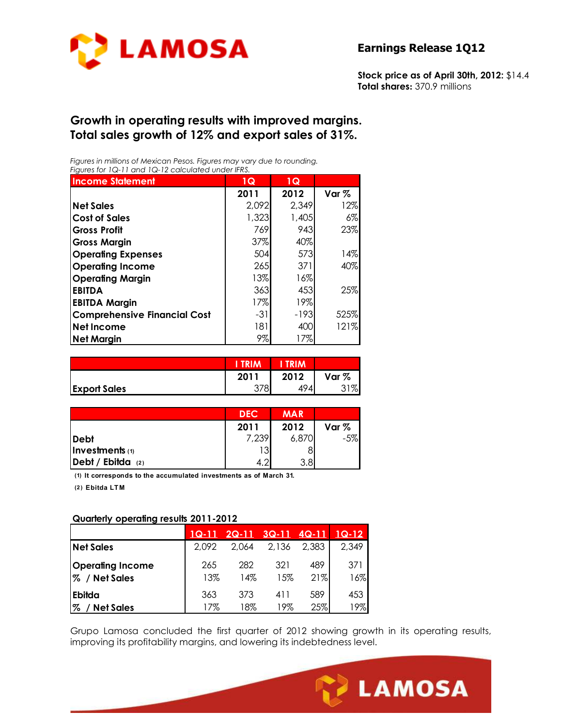

**Stock price as of April 30th, 2012:** \$14.4 **Total shares:** 370.9 millions

#### **Growth in operating results with improved margins. Total sales growth of 12% and export sales of 31%.**

*Figures in millions of Mexican Pesos. Figures may vary due to rounding. Figures for 1Q-11 and 1Q-12 calculated under IFRS.* 

| <b>Income Statement</b>             | 1Q    | 1Q     |         |
|-------------------------------------|-------|--------|---------|
|                                     | 2011  | 2012   | Var $%$ |
| <b>Net Sales</b>                    | 2,092 | 2,349  | 12%     |
| <b>Cost of Sales</b>                | 1,323 | 1,405  | 6%      |
| <b>Gross Profit</b>                 | 769   | 943    | 23%     |
| <b>Gross Margin</b>                 | 37%   | 40%    |         |
| <b>Operating Expenses</b>           | 504   | 573    | 14%     |
| <b>Operating Income</b>             | 265   | 371    | 40%     |
| <b>Operating Margin</b>             | 13%   | $16\%$ |         |
| <b>EBITDA</b>                       | 363   | 453    | 25%     |
| <b>EBITDA Margin</b>                | 17%   | 19%    |         |
| <b>Comprehensive Financial Cost</b> | -31   | $-193$ | 525%    |
| <b>Net Income</b>                   | 181   | 400    | 121%    |
| <b>Net Margin</b>                   | 9%    | 17%    |         |

|                     |      | <b>RIM</b> |          |
|---------------------|------|------------|----------|
|                     | 2011 | 2012       | Var $%$  |
| <b>Export Sales</b> | 270  | 494        | $\sigma$ |

|                            | <b>DEC</b> | <b>MAR</b>       |       |
|----------------------------|------------|------------------|-------|
|                            | 2011       | 2012             | Var % |
| Debt                       | 7,239      | 6,870            | $-5%$ |
| <b>Investments</b> (1)     | 13         |                  |       |
| $\Delta$ Debt / Ebitda (2) | $\Omega$   | 3.8 <sub>l</sub> |       |

**(1) It corresponds to the accumulated investments as of March 31.**

**(2 ) Ebitda LT M**

#### **Quarterly operating results 2011-2012**

|                                                | $1Q-11$    | $2Q-11$    | $3Q-11$    | $4Q-11$    | $1Q-12$    |
|------------------------------------------------|------------|------------|------------|------------|------------|
| <b>Net Sales</b>                               | 2.092      | 2.064      | 2,136      | 2,383      | 2,349      |
| <b>Operating Income</b><br>/ Net Sales<br>$\%$ | 265<br>13% | 282<br>14% | 321<br>15% | 489<br>21% | 371<br>16% |
| Ebilda                                         | 363        | 373        | 411        | 589        | 453        |
| $\%$<br><b>Net Sales</b>                       | 17%        | 18%        | 19%        | 25%        | 9%         |

Grupo Lamosa concluded the first quarter of 2012 showing growth in its operating results, improving its profitability margins, and lowering its indebtedness level.

Ī

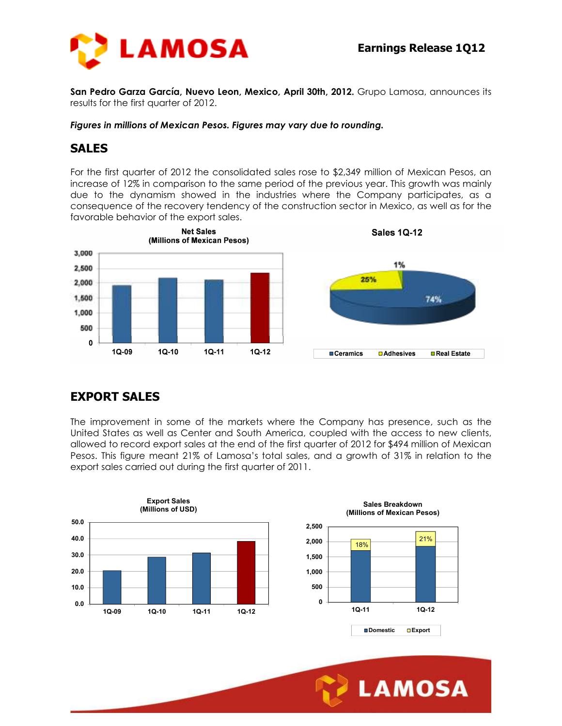

**San Pedro Garza García, Nuevo Leon, Mexico, April 30th, 2012.** Grupo Lamosa, announces its results for the first quarter of 2012.

*Figures in millions of Mexican Pesos. Figures may vary due to rounding.* 

## **SALES**

For the first quarter of 2012 the consolidated sales rose to \$2,349 million of Mexican Pesos, an increase of 12% in comparison to the same period of the previous year. This growth was mainly due to the dynamism showed in the industries where the Company participates, as a consequence of the recovery tendency of the construction sector in Mexico, as well as for the favorable behavior of the export sales.



## **EXPORT SALES**

The improvement in some of the markets where the Company has presence, such as the United States as well as Center and South America, coupled with the access to new clients, allowed to record export sales at the end of the first quarter of 2012 for \$494 million of Mexican Pesos. This figure meant 21% of Lamosa's total sales, and a growth of 31% in relation to the export sales carried out during the first quarter of 2011.



Ī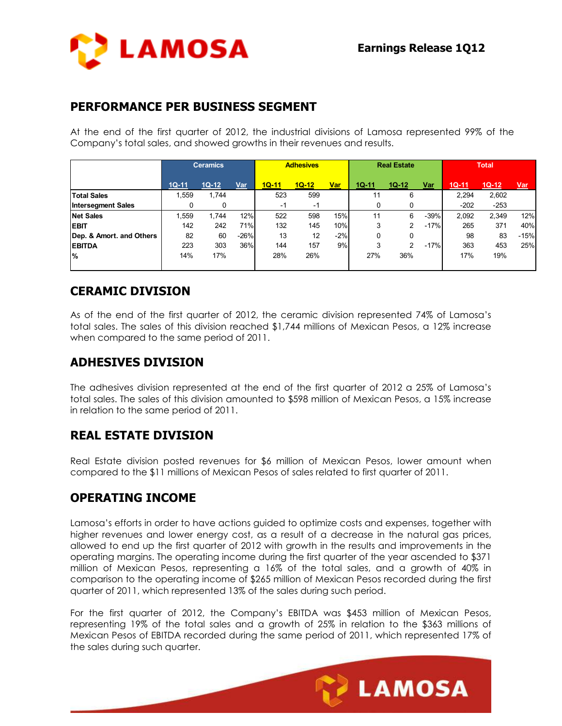

## **PERFORMANCE PER BUSINESS SEGMENT**

At the end of the first quarter of 2012, the industrial divisions of Lamosa represented 99% of the Company's total sales, and showed growths in their revenues and results.

|                           | <b>Ceramics</b> |         | <b>Adhesives</b> |         | <b>Real Estate</b> |            |         | <b>Total</b> |            |         |         |            |
|---------------------------|-----------------|---------|------------------|---------|--------------------|------------|---------|--------------|------------|---------|---------|------------|
|                           | $1Q-11$         | $1Q-12$ | Var              | $1Q-11$ | $1Q-12$            | <u>Var</u> | $1Q-11$ | $10 - 12$    | <u>Var</u> | $1Q-11$ | $1Q-12$ | <u>Var</u> |
| <b>Total Sales</b>        | 1,559           | 1.744   |                  | 523     | 599                |            | 11      | 6            |            | 2,294   | 2,602   |            |
| <b>Intersegment Sales</b> |                 | 0       |                  | -1      | -1                 |            |         |              |            | $-202$  | $-253$  |            |
| <b>Net Sales</b>          | 1.559           | 1.744   | 12%              | 522     | 598                | 15%        | 11      | 6            | $-39%$     | 2,092   | 2,349   | 12%        |
| <b>IEBIT</b>              | 142             | 242     | 71%              | 132     | 145                | 10%        | 3       | 2            | $-17%$     | 265     | 371     | 40%        |
| Dep. & Amort. and Others  | 82              | 60      | $-26%$           | 13      | 12                 | $-2%$      | 0       | 0            |            | 98      | 83      | $-15%$     |
| <b>EBITDA</b>             | 223             | 303     | 36%              | 144     | 157                | 9%         | 3       | 2            | $-17%$     | 363     | 453     | 25%        |
| $\%$                      | 14%             | 17%     |                  | 28%     | 26%                |            | 27%     | 36%          |            | 17%     | 19%     |            |
|                           |                 |         |                  |         |                    |            |         |              |            |         |         |            |

## **CERAMIC DIVISION**

As of the end of the first quarter of 2012, the ceramic division represented 74% of Lamosa's total sales. The sales of this division reached \$1,744 millions of Mexican Pesos, a 12% increase when compared to the same period of 2011.

## **ADHESIVES DIVISION**

The adhesives division represented at the end of the first quarter of 2012 a 25% of Lamosa's total sales. The sales of this division amounted to \$598 million of Mexican Pesos, a 15% increase in relation to the same period of 2011.

## **REAL ESTATE DIVISION**

Real Estate division posted revenues for \$6 million of Mexican Pesos, lower amount when compared to the \$11 millions of Mexican Pesos of sales related to first quarter of 2011.

## **OPERATING INCOME**

Lamosa's efforts in order to have actions guided to optimize costs and expenses, together with higher revenues and lower energy cost, as a result of a decrease in the natural gas prices, allowed to end up the first quarter of 2012 with growth in the results and improvements in the operating margins. The operating income during the first quarter of the year ascended to \$371 million of Mexican Pesos, representing a 16% of the total sales, and a growth of 40% in comparison to the operating income of \$265 million of Mexican Pesos recorded during the first quarter of 2011, which represented 13% of the sales during such period.

For the first quarter of 2012, the Company's EBITDA was \$453 million of Mexican Pesos, representing 19% of the total sales and a growth of 25% in relation to the \$363 millions of Mexican Pesos of EBITDA recorded during the same period of 2011, which represented 17% of the sales during such quarter.

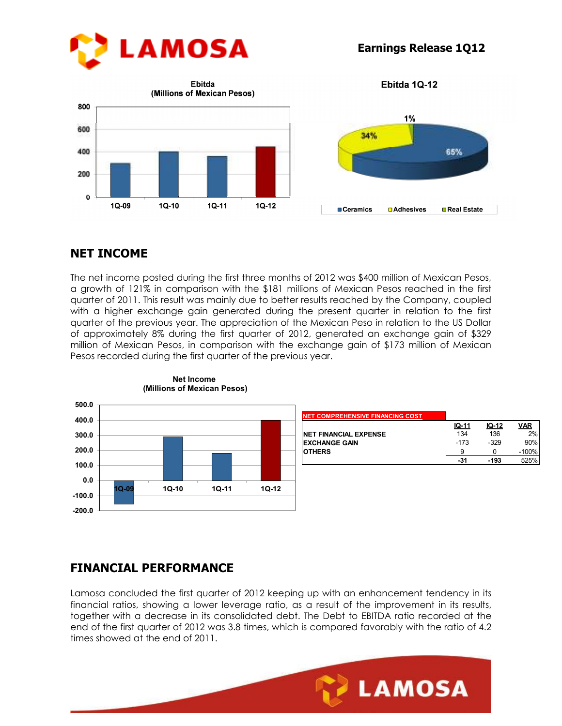

**Earnings Release 1Q12**



Ebitda 1Q-12



## **NET INCOME**

The net income posted during the first three months of 2012 was \$400 million of Mexican Pesos, a growth of 121% in comparison with the \$181 millions of Mexican Pesos reached in the first quarter of 2011. This result was mainly due to better results reached by the Company, coupled with a higher exchange gain generated during the present quarter in relation to the first quarter of the previous year. The appreciation of the Mexican Peso in relation to the US Dollar of approximately 8% during the first quarter of 2012, generated an exchange gain of \$329 million of Mexican Pesos, in comparison with the exchange gain of \$173 million of Mexican Pesos recorded during the first quarter of the previous year.



**Net Income (Millions of Mexican Pesos)**

## **FINANCIAL PERFORMANCE**

Lamosa concluded the first quarter of 2012 keeping up with an enhancement tendency in its financial ratios, showing a lower leverage ratio, as a result of the improvement in its results, together with a decrease in its consolidated debt. The Debt to EBITDA ratio recorded at the end of the first quarter of 2012 was 3.8 times, which is compared favorably with the ratio of 4.2 times showed at the end of 2011.

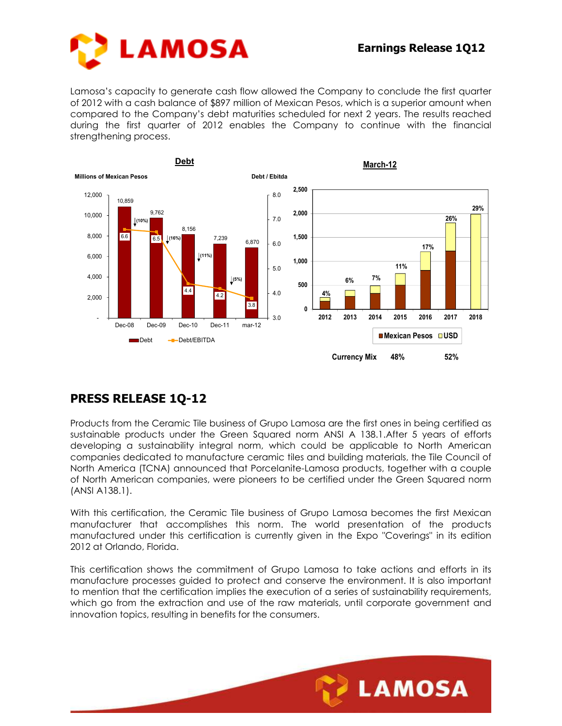

Lamosa's capacity to generate cash flow allowed the Company to conclude the first quarter of 2012 with a cash balance of \$897 million of Mexican Pesos, which is a superior amount when compared to the Company's debt maturities scheduled for next 2 years. The results reached during the first quarter of 2012 enables the Company to continue with the financial strengthening process.



# **PRESS RELEASE 1Q-12**

Products from the Ceramic Tile business of Grupo Lamosa are the first ones in being certified as sustainable products under the Green Squared norm ANSI A 138.1.After 5 years of efforts developing a sustainability integral norm, which could be applicable to North American companies dedicated to manufacture ceramic tiles and building materials, the Tile Council of North America (TCNA) announced that Porcelanite-Lamosa products, together with a couple of North American companies, were pioneers to be certified under the Green Squared norm (ANSI A138.1).

With this certification, the Ceramic Tile business of Grupo Lamosa becomes the first Mexican manufacturer that accomplishes this norm. The world presentation of the products manufactured under this certification is currently given in the Expo "Coverings" in its edition 2012 at Orlando, Florida.

This certification shows the commitment of Grupo Lamosa to take actions and efforts in its manufacture processes guided to protect and conserve the environment. It is also important to mention that the certification implies the execution of a series of sustainability requirements, which go from the extraction and use of the raw materials, until corporate government and innovation topics, resulting in benefits for the consumers.